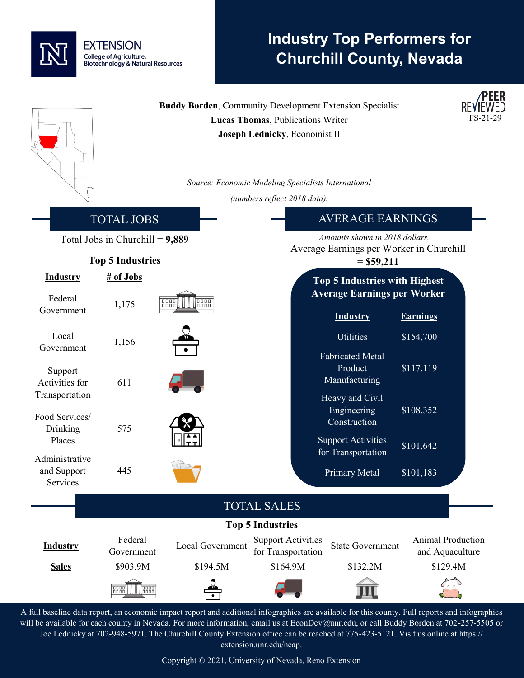

## **Industry Top Performers for Churchill County, Nevada**

|                                                                                                                                                        | <b>Buddy Borden, Community Development Extension Specialist</b><br><b>Lucas Thomas, Publications Writer</b> |                      |                                                          |                                                     |                              |  |  |
|--------------------------------------------------------------------------------------------------------------------------------------------------------|-------------------------------------------------------------------------------------------------------------|----------------------|----------------------------------------------------------|-----------------------------------------------------|------------------------------|--|--|
|                                                                                                                                                        |                                                                                                             |                      | Joseph Lednicky, Economist II                            |                                                     |                              |  |  |
|                                                                                                                                                        |                                                                                                             |                      | Source: Economic Modeling Specialists International      |                                                     |                              |  |  |
|                                                                                                                                                        |                                                                                                             |                      | (numbers reflect 2018 data).                             |                                                     |                              |  |  |
|                                                                                                                                                        | <b>TOTAL JOBS</b>                                                                                           |                      | <b>AVERAGE EARNINGS</b>                                  |                                                     |                              |  |  |
|                                                                                                                                                        | Total Jobs in Churchill = $9,889$                                                                           |                      |                                                          | Amounts shown in 2018 dollars.                      |                              |  |  |
| <b>Top 5 Industries</b>                                                                                                                                |                                                                                                             |                      | Average Earnings per Worker in Churchill<br>$=$ \$59,211 |                                                     |                              |  |  |
| <b>Industry</b>                                                                                                                                        | # of Jobs                                                                                                   |                      |                                                          | <b>Top 5 Industries with Highest</b>                |                              |  |  |
| Federal<br>Government                                                                                                                                  | 1,175                                                                                                       | 8888<br><b>Feeld</b> |                                                          | <b>Average Earnings per Worker</b>                  |                              |  |  |
| Local<br>Government                                                                                                                                    | 1,156                                                                                                       |                      |                                                          | <b>Industry</b><br>Utilities                        | <b>Earnings</b><br>\$154,700 |  |  |
| Support<br>Activities for                                                                                                                              | 611                                                                                                         |                      |                                                          | <b>Fabricated Metal</b><br>Product<br>Manufacturing | \$117,119                    |  |  |
| Transportation<br>Food Services/<br>Drinking                                                                                                           | 575                                                                                                         |                      |                                                          | Heavy and Civil<br>Engineering<br>Construction      | \$108,352                    |  |  |
| Places<br>Administrative                                                                                                                               |                                                                                                             |                      |                                                          | <b>Support Activities</b><br>for Transportation     | \$101,642                    |  |  |
| and Support<br>Services                                                                                                                                | 445                                                                                                         |                      |                                                          | Primary Metal                                       | \$101,183                    |  |  |
| <b>TOTAL SALES</b>                                                                                                                                     |                                                                                                             |                      |                                                          |                                                     |                              |  |  |
| <b>Top 5 Industries</b><br>Federal<br>Animal Production<br><b>Support Activities</b><br>Local Government<br><b>Industry</b><br><b>State Government</b> |                                                                                                             |                      |                                                          |                                                     |                              |  |  |
|                                                                                                                                                        | Government                                                                                                  |                      | for Transportation<br>\$164.9M                           | \$132.2M                                            | and Aquaculture<br>\$129.4M  |  |  |
| <b>Sales</b>                                                                                                                                           | \$903.9M                                                                                                    | \$194.5M             |                                                          |                                                     |                              |  |  |
|                                                                                                                                                        | <b>Tesse</b><br><b>BBB</b>                                                                                  |                      |                                                          |                                                     |                              |  |  |

A full baseline data report, an economic impact report and additional infographics are available for this county. Full reports and infographics will be available for each county in Nevada. For more information, email us at EconDev@unr.edu, or call Buddy Borden at 702-257-5505 or Joe Lednicky at 702-948-5971. The Churchill County Extension office can be reached at 775-423-5121. Visit us online at https:// extension.unr.edu/neap.